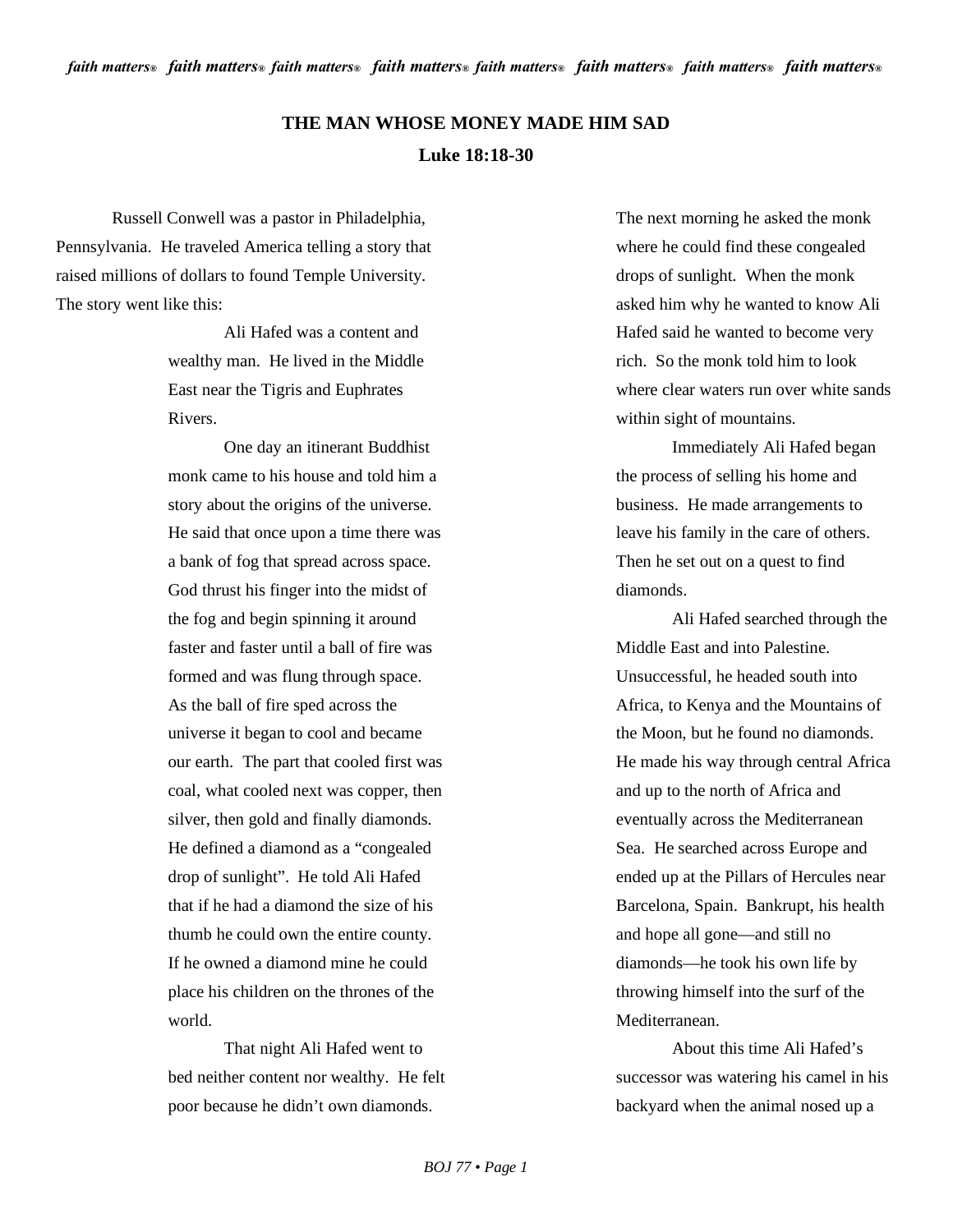## **THE MAN WHOSE MONEY MADE HIM SAD Luke 18:18-30**

Russell Conwell was a pastor in Philadelphia, Pennsylvania. He traveled America telling a story that raised millions of dollars to found Temple University. The story went like this:

> Ali Hafed was a content and wealthy man. He lived in the Middle East near the Tigris and Euphrates Rivers.

One day an itinerant Buddhist monk came to his house and told him a story about the origins of the universe. He said that once upon a time there was a bank of fog that spread across space. God thrust his finger into the midst of the fog and begin spinning it around faster and faster until a ball of fire was formed and was flung through space. As the ball of fire sped across the universe it began to cool and became our earth. The part that cooled first was coal, what cooled next was copper, then silver, then gold and finally diamonds. He defined a diamond as a "congealed drop of sunlight". He told Ali Hafed that if he had a diamond the size of his thumb he could own the entire county. If he owned a diamond mine he could place his children on the thrones of the world.

That night Ali Hafed went to bed neither content nor wealthy. He felt poor because he didn't own diamonds.

The next morning he asked the monk where he could find these congealed drops of sunlight. When the monk asked him why he wanted to know Ali Hafed said he wanted to become very rich. So the monk told him to look where clear waters run over white sands within sight of mountains.

Immediately Ali Hafed began the process of selling his home and business. He made arrangements to leave his family in the care of others. Then he set out on a quest to find diamonds.

Ali Hafed searched through the Middle East and into Palestine. Unsuccessful, he headed south into Africa, to Kenya and the Mountains of the Moon, but he found no diamonds. He made his way through central Africa and up to the north of Africa and eventually across the Mediterranean Sea. He searched across Europe and ended up at the Pillars of Hercules near Barcelona, Spain. Bankrupt, his health and hope all gone—and still no diamonds—he took his own life by throwing himself into the surf of the Mediterranean.

About this time Ali Hafed's successor was watering his camel in his backyard when the animal nosed up a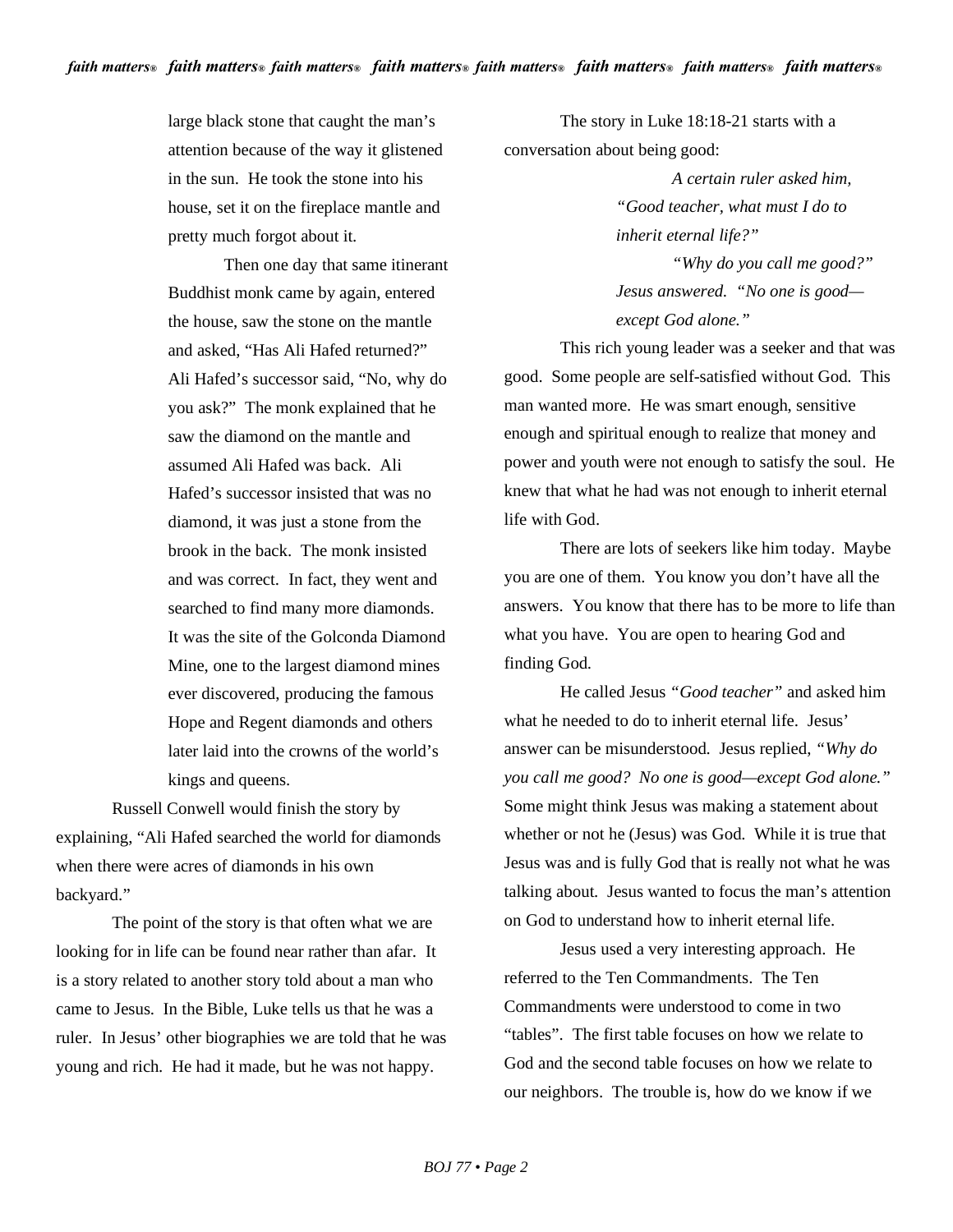large black stone that caught the man's attention because of the way it glistened in the sun. He took the stone into his house, set it on the fireplace mantle and pretty much forgot about it.

Then one day that same itinerant Buddhist monk came by again, entered the house, saw the stone on the mantle and asked, "Has Ali Hafed returned?" Ali Hafed's successor said, "No, why do you ask?" The monk explained that he saw the diamond on the mantle and assumed Ali Hafed was back. Ali Hafed's successor insisted that was no diamond, it was just a stone from the brook in the back. The monk insisted and was correct. In fact, they went and searched to find many more diamonds. It was the site of the Golconda Diamond Mine, one to the largest diamond mines ever discovered, producing the famous Hope and Regent diamonds and others later laid into the crowns of the world's kings and queens.

Russell Conwell would finish the story by explaining, "Ali Hafed searched the world for diamonds when there were acres of diamonds in his own backyard."

The point of the story is that often what we are looking for in life can be found near rather than afar. It is a story related to another story told about a man who came to Jesus. In the Bible, Luke tells us that he was a ruler. In Jesus' other biographies we are told that he was young and rich. He had it made, but he was not happy.

The story in Luke 18:18-21 starts with a conversation about being good:

> *A certain ruler asked him, "Good teacher, what must I do to inherit eternal life?" "Why do you call me good?"*

*Jesus answered. "No one is good except God alone."*

This rich young leader was a seeker and that was good. Some people are self-satisfied without God. This man wanted more. He was smart enough, sensitive enough and spiritual enough to realize that money and power and youth were not enough to satisfy the soul. He knew that what he had was not enough to inherit eternal life with God.

There are lots of seekers like him today. Maybe you are one of them. You know you don't have all the answers. You know that there has to be more to life than what you have. You are open to hearing God and finding God.

He called Jesus *"Good teacher"* and asked him what he needed to do to inherit eternal life. Jesus' answer can be misunderstood. Jesus replied, *"Why do you call me good? No one is good—except God alone."* Some might think Jesus was making a statement about whether or not he (Jesus) was God. While it is true that Jesus was and is fully God that is really not what he was talking about. Jesus wanted to focus the man's attention on God to understand how to inherit eternal life.

Jesus used a very interesting approach. He referred to the Ten Commandments. The Ten Commandments were understood to come in two "tables". The first table focuses on how we relate to God and the second table focuses on how we relate to our neighbors. The trouble is, how do we know if we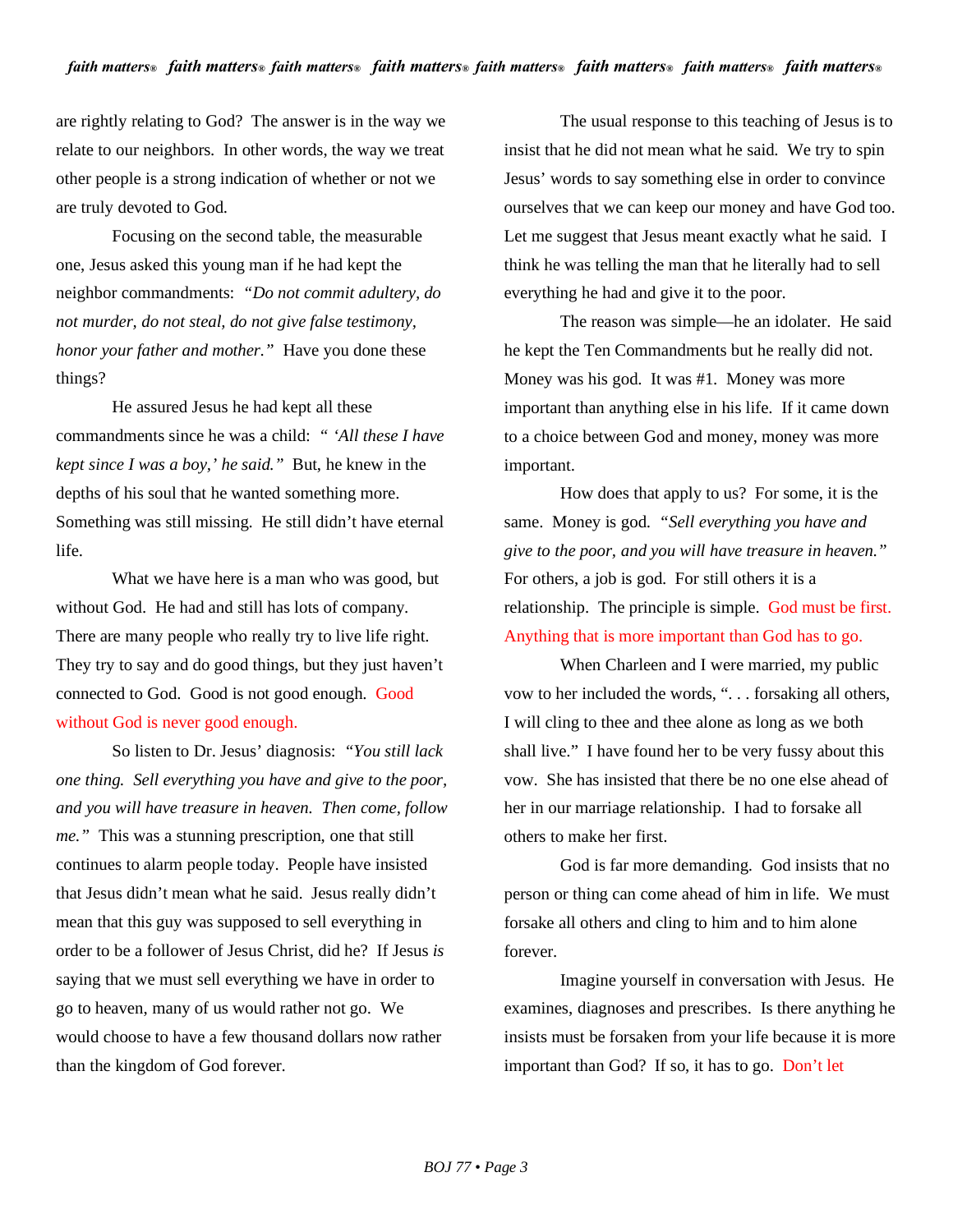are rightly relating to God? The answer is in the way we relate to our neighbors. In other words, the way we treat other people is a strong indication of whether or not we are truly devoted to God.

Focusing on the second table, the measurable one, Jesus asked this young man if he had kept the neighbor commandments: *"Do not commit adultery, do not murder, do not steal, do not give false testimony, honor your father and mother."* Have you done these things?

He assured Jesus he had kept all these commandments since he was a child: *" 'All these I have kept since I was a boy,' he said."* But, he knew in the depths of his soul that he wanted something more. Something was still missing. He still didn't have eternal life.

What we have here is a man who was good, but without God. He had and still has lots of company. There are many people who really try to live life right. They try to say and do good things, but they just haven't connected to God. Good is not good enough. Good without God is never good enough.

So listen to Dr. Jesus' diagnosis: *"You still lack one thing. Sell everything you have and give to the poor, and you will have treasure in heaven. Then come, follow me."* This was a stunning prescription, one that still continues to alarm people today. People have insisted that Jesus didn't mean what he said. Jesus really didn't mean that this guy was supposed to sell everything in order to be a follower of Jesus Christ, did he? If Jesus *is* saying that we must sell everything we have in order to go to heaven, many of us would rather not go. We would choose to have a few thousand dollars now rather than the kingdom of God forever.

The usual response to this teaching of Jesus is to insist that he did not mean what he said. We try to spin Jesus' words to say something else in order to convince ourselves that we can keep our money and have God too. Let me suggest that Jesus meant exactly what he said. I think he was telling the man that he literally had to sell everything he had and give it to the poor.

The reason was simple—he an idolater. He said he kept the Ten Commandments but he really did not. Money was his god. It was #1. Money was more important than anything else in his life. If it came down to a choice between God and money, money was more important.

How does that apply to us? For some, it is the same. Money is god. *"Sell everything you have and give to the poor, and you will have treasure in heaven."*  For others, a job is god. For still others it is a relationship. The principle is simple. God must be first. Anything that is more important than God has to go.

When Charleen and I were married, my public vow to her included the words, ". . . forsaking all others, I will cling to thee and thee alone as long as we both shall live." I have found her to be very fussy about this vow. She has insisted that there be no one else ahead of her in our marriage relationship. I had to forsake all others to make her first.

God is far more demanding. God insists that no person or thing can come ahead of him in life. We must forsake all others and cling to him and to him alone forever.

Imagine yourself in conversation with Jesus. He examines, diagnoses and prescribes. Is there anything he insists must be forsaken from your life because it is more important than God? If so, it has to go. Don't let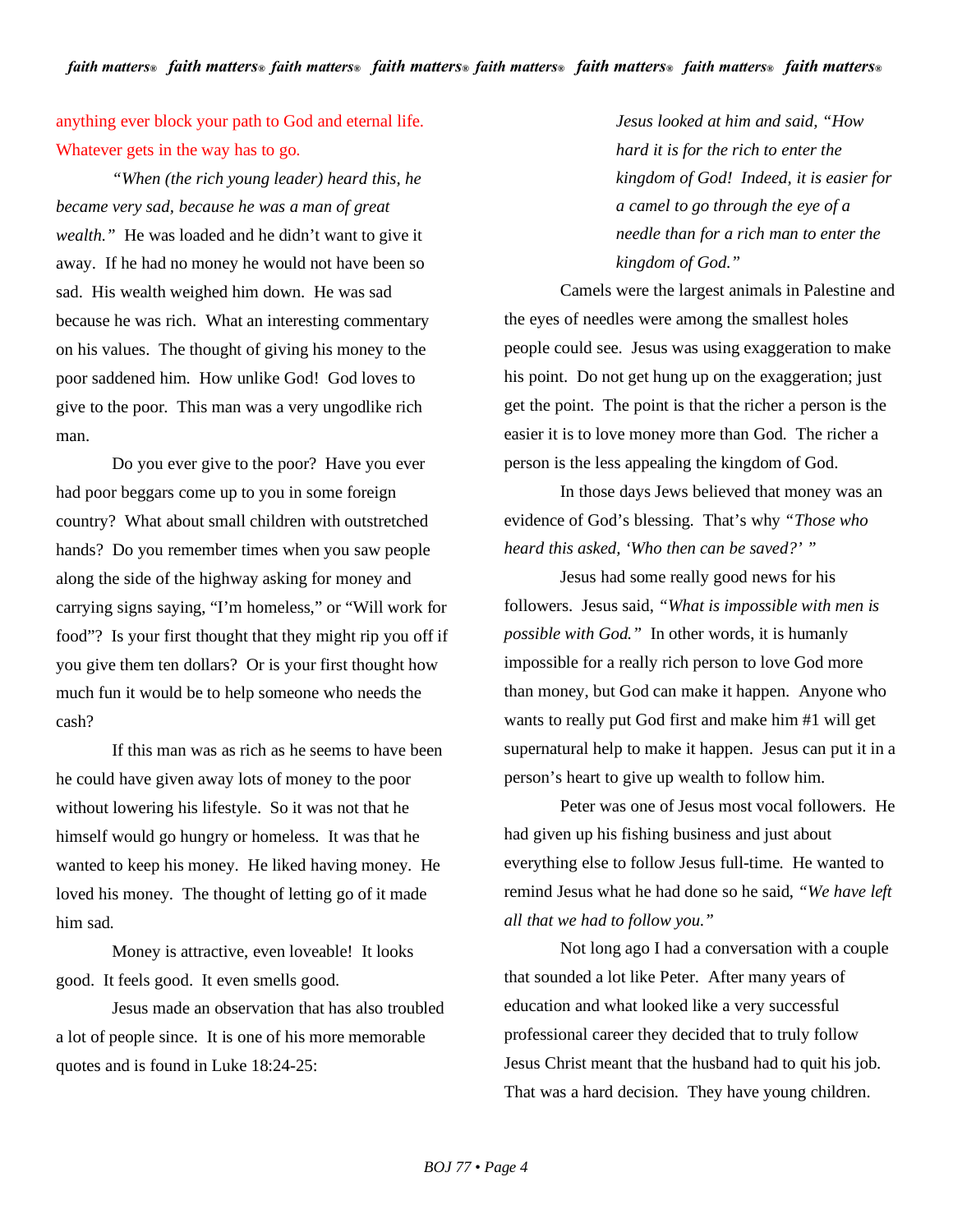## anything ever block your path to God and eternal life. Whatever gets in the way has to go.

*"When (the rich young leader) heard this, he became very sad, because he was a man of great wealth."* He was loaded and he didn't want to give it away. If he had no money he would not have been so sad. His wealth weighed him down. He was sad because he was rich. What an interesting commentary on his values. The thought of giving his money to the poor saddened him. How unlike God! God loves to give to the poor. This man was a very ungodlike rich man.

Do you ever give to the poor? Have you ever had poor beggars come up to you in some foreign country? What about small children with outstretched hands? Do you remember times when you saw people along the side of the highway asking for money and carrying signs saying, "I'm homeless," or "Will work for food"? Is your first thought that they might rip you off if you give them ten dollars? Or is your first thought how much fun it would be to help someone who needs the cash?

If this man was as rich as he seems to have been he could have given away lots of money to the poor without lowering his lifestyle. So it was not that he himself would go hungry or homeless. It was that he wanted to keep his money. He liked having money. He loved his money. The thought of letting go of it made him sad.

Money is attractive, even loveable! It looks good. It feels good. It even smells good.

Jesus made an observation that has also troubled a lot of people since. It is one of his more memorable quotes and is found in Luke 18:24-25:

*Jesus looked at him and said, "How hard it is for the rich to enter the kingdom of God! Indeed, it is easier for a camel to go through the eye of a needle than for a rich man to enter the kingdom of God."*

Camels were the largest animals in Palestine and the eyes of needles were among the smallest holes people could see. Jesus was using exaggeration to make his point. Do not get hung up on the exaggeration; just get the point. The point is that the richer a person is the easier it is to love money more than God. The richer a person is the less appealing the kingdom of God.

In those days Jews believed that money was an evidence of God's blessing. That's why *"Those who heard this asked, 'Who then can be saved?' "*

Jesus had some really good news for his followers. Jesus said, *"What is impossible with men is possible with God."* In other words, it is humanly impossible for a really rich person to love God more than money, but God can make it happen. Anyone who wants to really put God first and make him #1 will get supernatural help to make it happen. Jesus can put it in a person's heart to give up wealth to follow him.

Peter was one of Jesus most vocal followers. He had given up his fishing business and just about everything else to follow Jesus full-time. He wanted to remind Jesus what he had done so he said, *"We have left all that we had to follow you."*

Not long ago I had a conversation with a couple that sounded a lot like Peter. After many years of education and what looked like a very successful professional career they decided that to truly follow Jesus Christ meant that the husband had to quit his job. That was a hard decision. They have young children.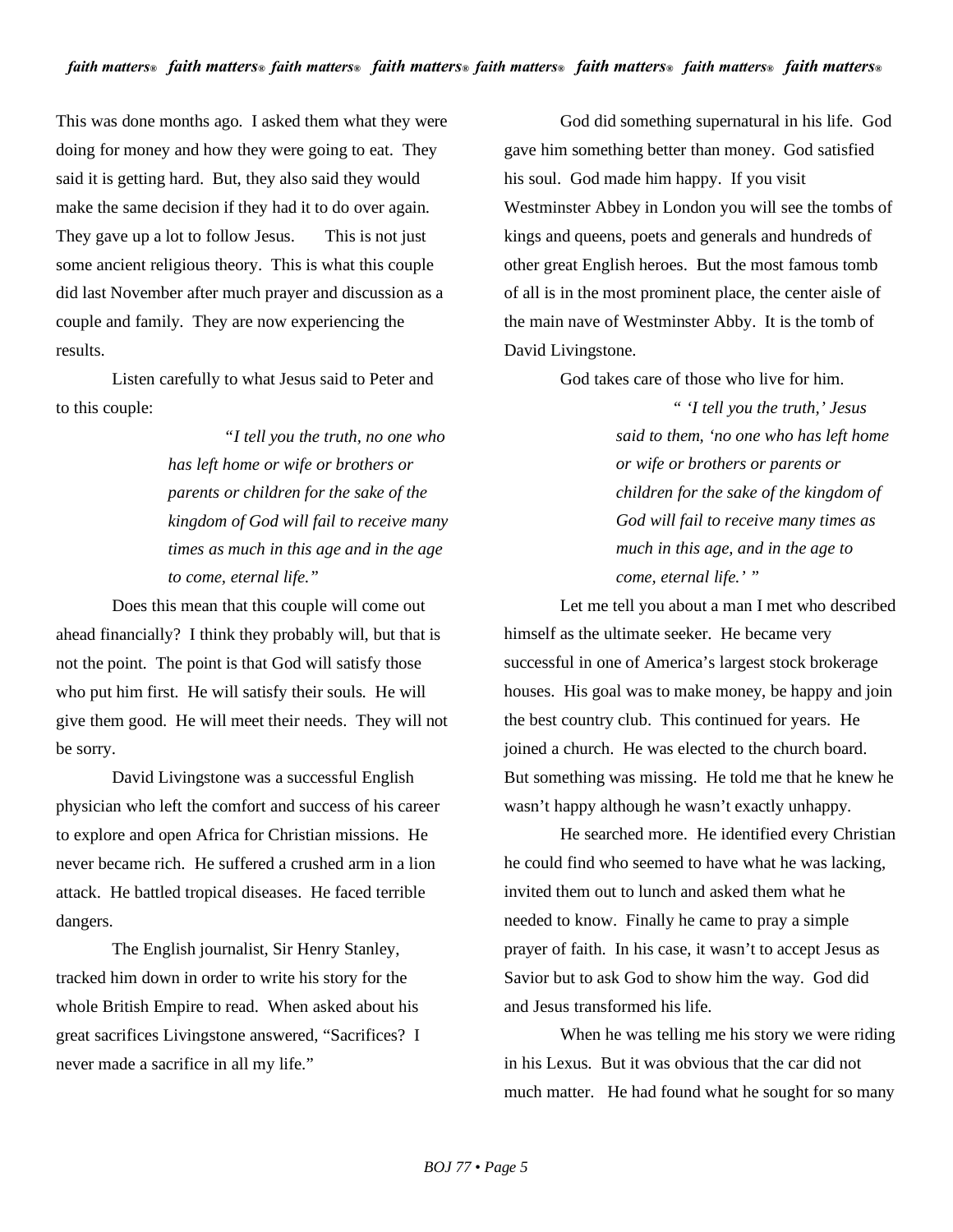This was done months ago. I asked them what they were doing for money and how they were going to eat. They said it is getting hard. But, they also said they would make the same decision if they had it to do over again. They gave up a lot to follow Jesus. This is not just some ancient religious theory. This is what this couple did last November after much prayer and discussion as a couple and family. They are now experiencing the results.

Listen carefully to what Jesus said to Peter and to this couple:

> *"I tell you the truth, no one who has left home or wife or brothers or parents or children for the sake of the kingdom of God will fail to receive many times as much in this age and in the age to come, eternal life."*

Does this mean that this couple will come out ahead financially? I think they probably will, but that is not the point. The point is that God will satisfy those who put him first. He will satisfy their souls. He will give them good. He will meet their needs. They will not be sorry.

David Livingstone was a successful English physician who left the comfort and success of his career to explore and open Africa for Christian missions. He never became rich. He suffered a crushed arm in a lion attack. He battled tropical diseases. He faced terrible dangers.

The English journalist, Sir Henry Stanley, tracked him down in order to write his story for the whole British Empire to read. When asked about his great sacrifices Livingstone answered, "Sacrifices? I never made a sacrifice in all my life."

God did something supernatural in his life. God gave him something better than money. God satisfied his soul. God made him happy. If you visit Westminster Abbey in London you will see the tombs of kings and queens, poets and generals and hundreds of other great English heroes. But the most famous tomb of all is in the most prominent place, the center aisle of the main nave of Westminster Abby. It is the tomb of David Livingstone.

God takes care of those who live for him.

*" 'I tell you the truth,' Jesus said to them, 'no one who has left home or wife or brothers or parents or children for the sake of the kingdom of God will fail to receive many times as much in this age, and in the age to come, eternal life.' "*

Let me tell you about a man I met who described himself as the ultimate seeker. He became very successful in one of America's largest stock brokerage houses. His goal was to make money, be happy and join the best country club. This continued for years. He joined a church. He was elected to the church board. But something was missing. He told me that he knew he wasn't happy although he wasn't exactly unhappy.

He searched more. He identified every Christian he could find who seemed to have what he was lacking, invited them out to lunch and asked them what he needed to know. Finally he came to pray a simple prayer of faith. In his case, it wasn't to accept Jesus as Savior but to ask God to show him the way. God did and Jesus transformed his life.

When he was telling me his story we were riding in his Lexus. But it was obvious that the car did not much matter. He had found what he sought for so many